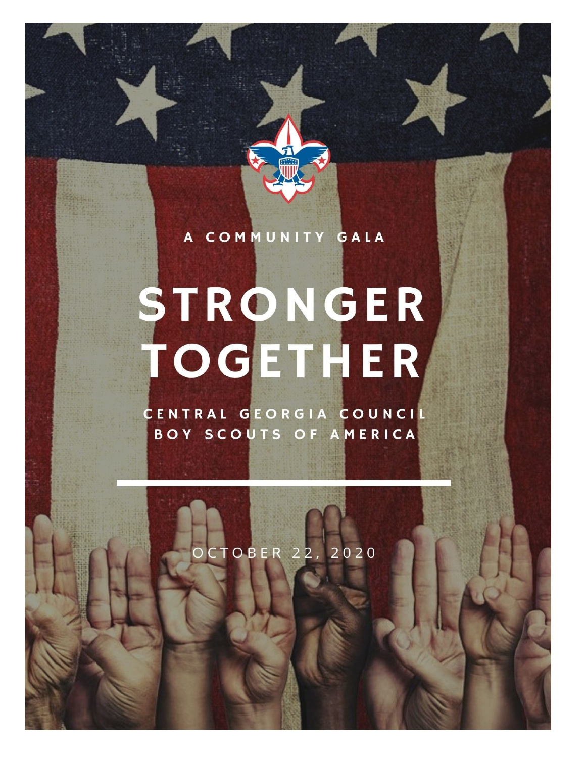### A COMMUNITY GALA

# STRONGER TOGETHER

CENTRAL GEORGIA COUNCIL BOY SCOUTS OF AMERICA

CTOBER 22, 2020